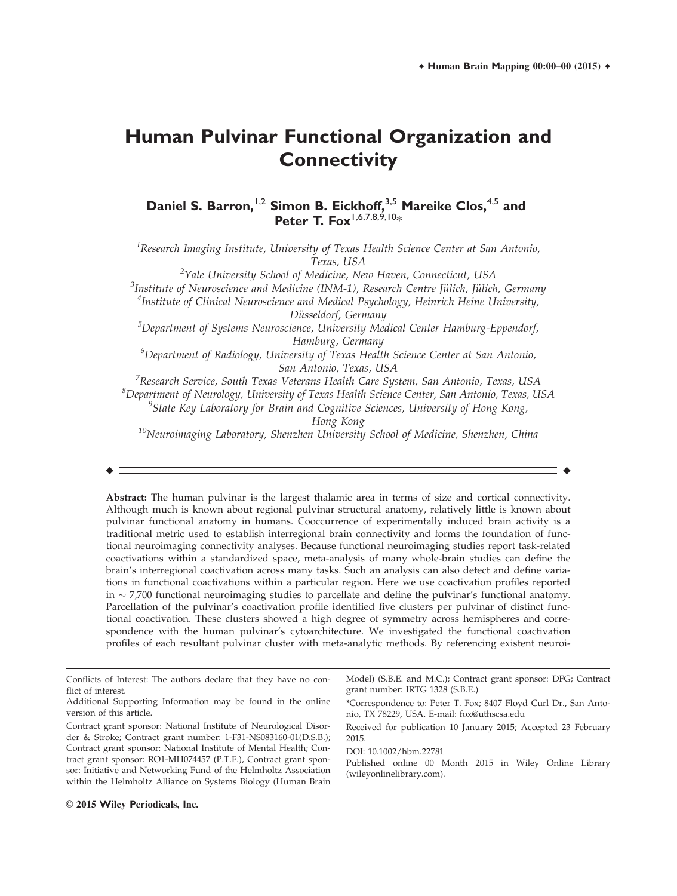# **Human Pulvinar Functional Organization and Connectivity**

**Daniel S. Barron,**1,2 **Simon B. Eickhoff,**3,5 **Mareike Clos,**4,5 **and Peter T. Fox**<sup>1,6,7,8,9,10\*</sup>

 $^1$ Research Imaging Institute, University of Texas Health Science Center at San Antonio, Texas, USA

 $^2$ Yale University School of Medicine, New Haven, Connecticut, USA

<sup>3</sup>Institute of Neuroscience and Medicine (INM-1), Research Centre Jülich, Jülich, Germany<br><sup>4</sup>Institute of Clinical Neuroscience and Medical Psychology, Heinrich Heine University

 ${}^{4}$ Institute of Clinical Neuroscience and Medical Psychology, Heinrich Heine University, Düsseldorf, Germany<br>Eppendorf, Spepartment of Systems Neuroscience, University Medical Center Hamburg-Eppendorf, <sup>5</sup>

Hamburg, Germany

 $^6$ Department of Radiology, University of Texas Health Science Center at San Antonio, San Antonio, Texas, USA

<sup>7</sup>Research Service, South Texas Veterans Health Care System, San Antonio, Texas, USA  $^8$ Department of Neurology, University of Texas Health Science Center, San Antonio, Texas, USA <sup>9</sup>State Key Laboratory for Brain and Cognitive Sciences, University of Hong Kong,

Hong Kong

 $10$ Neuroimaging Laboratory, Shenzhen University School of Medicine, Shenzhen, China

 $\bullet$  -contract to the contract of the contract of the contract of the contract of the contract of the contract of the contract of the contract of the contract of the contract of the contract of the contract of the contrac

Abstract: The human pulvinar is the largest thalamic area in terms of size and cortical connectivity. Although much is known about regional pulvinar structural anatomy, relatively little is known about pulvinar functional anatomy in humans. Cooccurrence of experimentally induced brain activity is a traditional metric used to establish interregional brain connectivity and forms the foundation of functional neuroimaging connectivity analyses. Because functional neuroimaging studies report task-related coactivations within a standardized space, meta-analysis of many whole-brain studies can define the brain's interregional coactivation across many tasks. Such an analysis can also detect and define variations in functional coactivations within a particular region. Here we use coactivation profiles reported in  $\sim$  7,700 functional neuroimaging studies to parcellate and define the pulvinar's functional anatomy. Parcellation of the pulvinar's coactivation profile identified five clusters per pulvinar of distinct functional coactivation. These clusters showed a high degree of symmetry across hemispheres and correspondence with the human pulvinar's cytoarchitecture. We investigated the functional coactivation profiles of each resultant pulvinar cluster with meta-analytic methods. By referencing existent neuroi-

Model) (S.B.E. and M.C.); Contract grant sponsor: DFG; Contract grant number: IRTG 1328 (S.B.E.)

\*Correspondence to: Peter T. Fox; 8407 Floyd Curl Dr., San Antonio, TX 78229, USA. E-mail: fox@uthscsa.edu

Received for publication 10 January 2015; Accepted 23 February 2015.

DOI: 10.1002/hbm.22781

Published online 00 Month 2015 in Wiley Online Library (wileyonlinelibrary.com).

Conflicts of Interest: The authors declare that they have no conflict of interest.

Additional Supporting Information may be found in the online version of this article.

Contract grant sponsor: National Institute of Neurological Disorder & Stroke; Contract grant number: 1-F31-NS083160-01(D.S.B.); Contract grant sponsor: National Institute of Mental Health; Contract grant sponsor: RO1-MH074457 (P.T.F.), Contract grant sponsor: Initiative and Networking Fund of the Helmholtz Association within the Helmholtz Alliance on Systems Biology (Human Brain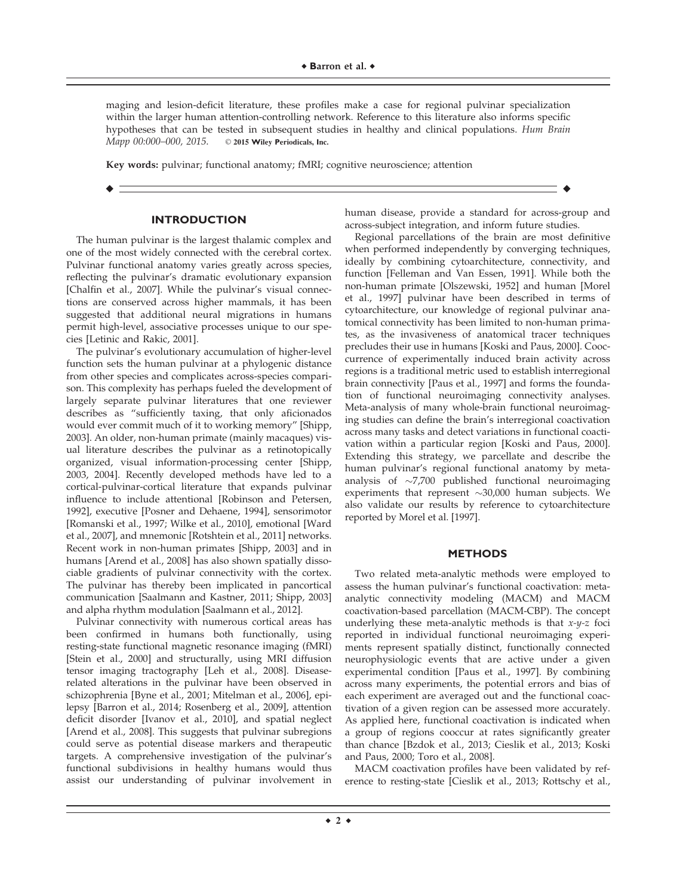maging and lesion-deficit literature, these profiles make a case for regional pulvinar specialization within the larger human attention-controlling network. Reference to this literature also informs specific hypotheses that can be tested in subsequent studies in healthy and clinical populations. Hum Brain Mapp 00:000-000, 2015. © 2015 Wiley Periodicals, Inc.

r r

Key words: pulvinar; functional anatomy; fMRI; cognitive neuroscience; attention

## **INTRODUCTION**

The human pulvinar is the largest thalamic complex and one of the most widely connected with the cerebral cortex. Pulvinar functional anatomy varies greatly across species, reflecting the pulvinar's dramatic evolutionary expansion [Chalfin et al., 2007]. While the pulvinar's visual connections are conserved across higher mammals, it has been suggested that additional neural migrations in humans permit high-level, associative processes unique to our species [Letinic and Rakic, 2001].

The pulvinar's evolutionary accumulation of higher-level function sets the human pulvinar at a phylogenic distance from other species and complicates across-species comparison. This complexity has perhaps fueled the development of largely separate pulvinar literatures that one reviewer describes as "sufficiently taxing, that only aficionados would ever commit much of it to working memory" [Shipp, 2003]. An older, non-human primate (mainly macaques) visual literature describes the pulvinar as a retinotopically organized, visual information-processing center [Shipp, 2003, 2004]. Recently developed methods have led to a cortical-pulvinar-cortical literature that expands pulvinar influence to include attentional [Robinson and Petersen, 1992], executive [Posner and Dehaene, 1994], sensorimotor [Romanski et al., 1997; Wilke et al., 2010], emotional [Ward et al., 2007], and mnemonic [Rotshtein et al., 2011] networks. Recent work in non-human primates [Shipp, 2003] and in humans [Arend et al., 2008] has also shown spatially dissociable gradients of pulvinar connectivity with the cortex. The pulvinar has thereby been implicated in pancortical communication [Saalmann and Kastner, 2011; Shipp, 2003] and alpha rhythm modulation [Saalmann et al., 2012].

Pulvinar connectivity with numerous cortical areas has been confirmed in humans both functionally, using resting-state functional magnetic resonance imaging (fMRI) [Stein et al., 2000] and structurally, using MRI diffusion tensor imaging tractography [Leh et al., 2008]. Diseaserelated alterations in the pulvinar have been observed in schizophrenia [Byne et al., 2001; Mitelman et al., 2006], epilepsy [Barron et al., 2014; Rosenberg et al., 2009], attention deficit disorder [Ivanov et al., 2010], and spatial neglect [Arend et al., 2008]. This suggests that pulvinar subregions could serve as potential disease markers and therapeutic targets. A comprehensive investigation of the pulvinar's functional subdivisions in healthy humans would thus assist our understanding of pulvinar involvement in

human disease, provide a standard for across-group and across-subject integration, and inform future studies.

Regional parcellations of the brain are most definitive when performed independently by converging techniques, ideally by combining cytoarchitecture, connectivity, and function [Felleman and Van Essen, 1991]. While both the non-human primate [Olszewski, 1952] and human [Morel et al., 1997] pulvinar have been described in terms of cytoarchitecture, our knowledge of regional pulvinar anatomical connectivity has been limited to non-human primates, as the invasiveness of anatomical tracer techniques precludes their use in humans [Koski and Paus, 2000]. Cooccurrence of experimentally induced brain activity across regions is a traditional metric used to establish interregional brain connectivity [Paus et al., 1997] and forms the foundation of functional neuroimaging connectivity analyses. Meta-analysis of many whole-brain functional neuroimaging studies can define the brain's interregional coactivation across many tasks and detect variations in functional coactivation within a particular region [Koski and Paus, 2000]. Extending this strategy, we parcellate and describe the human pulvinar's regional functional anatomy by metaanalysis of  $\sim$ 7,700 published functional neuroimaging experiments that represent  $\sim$ 30,000 human subjects. We also validate our results by reference to cytoarchitecture reported by Morel et al. [1997].

#### **METHODS**

Two related meta-analytic methods were employed to assess the human pulvinar's functional coactivation: metaanalytic connectivity modeling (MACM) and MACM coactivation-based parcellation (MACM-CBP). The concept underlying these meta-analytic methods is that  $x-y-z$  foci reported in individual functional neuroimaging experiments represent spatially distinct, functionally connected neurophysiologic events that are active under a given experimental condition [Paus et al., 1997]. By combining across many experiments, the potential errors and bias of each experiment are averaged out and the functional coactivation of a given region can be assessed more accurately. As applied here, functional coactivation is indicated when a group of regions cooccur at rates significantly greater than chance [Bzdok et al., 2013; Cieslik et al., 2013; Koski and Paus, 2000; Toro et al., 2008].

MACM coactivation profiles have been validated by reference to resting-state [Cieslik et al., 2013; Rottschy et al.,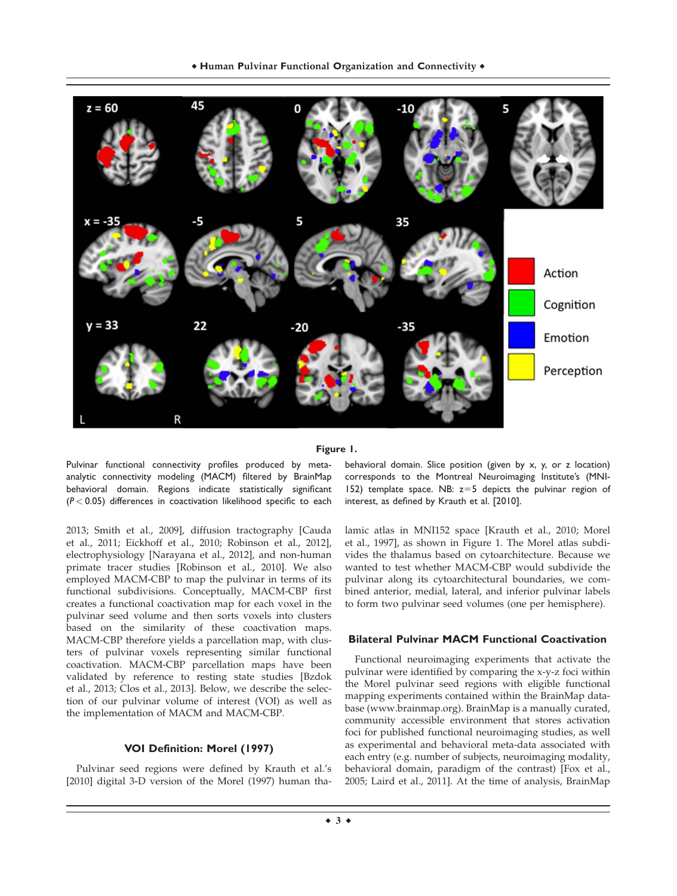

#### **Figure 1.**

Pulvinar functional connectivity profiles produced by metaanalytic connectivity modeling (MACM) filtered by BrainMap behavioral domain. Regions indicate statistically significant (*P* < 0.05) differences in coactivation likelihood specific to each

2013; Smith et al., 2009], diffusion tractography [Cauda et al., 2011; Eickhoff et al., 2010; Robinson et al., 2012], electrophysiology [Narayana et al., 2012], and non-human primate tracer studies [Robinson et al., 2010]. We also employed MACM-CBP to map the pulvinar in terms of its functional subdivisions. Conceptually, MACM-CBP first creates a functional coactivation map for each voxel in the pulvinar seed volume and then sorts voxels into clusters based on the similarity of these coactivation maps. MACM-CBP therefore yields a parcellation map, with clusters of pulvinar voxels representing similar functional coactivation. MACM-CBP parcellation maps have been validated by reference to resting state studies [Bzdok et al., 2013; Clos et al., 2013]. Below, we describe the selection of our pulvinar volume of interest (VOI) as well as the implementation of MACM and MACM-CBP.

#### **VOI Definition: Morel (1997)**

Pulvinar seed regions were defined by Krauth et al.'s [2010] digital 3-D version of the Morel (1997) human thabehavioral domain. Slice position (given by x, y, or z location) corresponds to the Montreal Neuroimaging Institute's (MNI-152) template space. NB:  $z=5$  depicts the pulvinar region of interest, as defined by Krauth et al. [2010].

lamic atlas in MNI152 space [Krauth et al., 2010; Morel et al., 1997], as shown in Figure 1. The Morel atlas subdivides the thalamus based on cytoarchitecture. Because we wanted to test whether MACM-CBP would subdivide the pulvinar along its cytoarchitectural boundaries, we combined anterior, medial, lateral, and inferior pulvinar labels to form two pulvinar seed volumes (one per hemisphere).

## **Bilateral Pulvinar MACM Functional Coactivation**

Functional neuroimaging experiments that activate the pulvinar were identified by comparing the x-y-z foci within the Morel pulvinar seed regions with eligible functional mapping experiments contained within the BrainMap database ([www.brainmap.org](http://www.brainmap.org)). BrainMap is a manually curated, community accessible environment that stores activation foci for published functional neuroimaging studies, as well as experimental and behavioral meta-data associated with each entry (e.g. number of subjects, neuroimaging modality, behavioral domain, paradigm of the contrast) [Fox et al., 2005; Laird et al., 2011]. At the time of analysis, BrainMap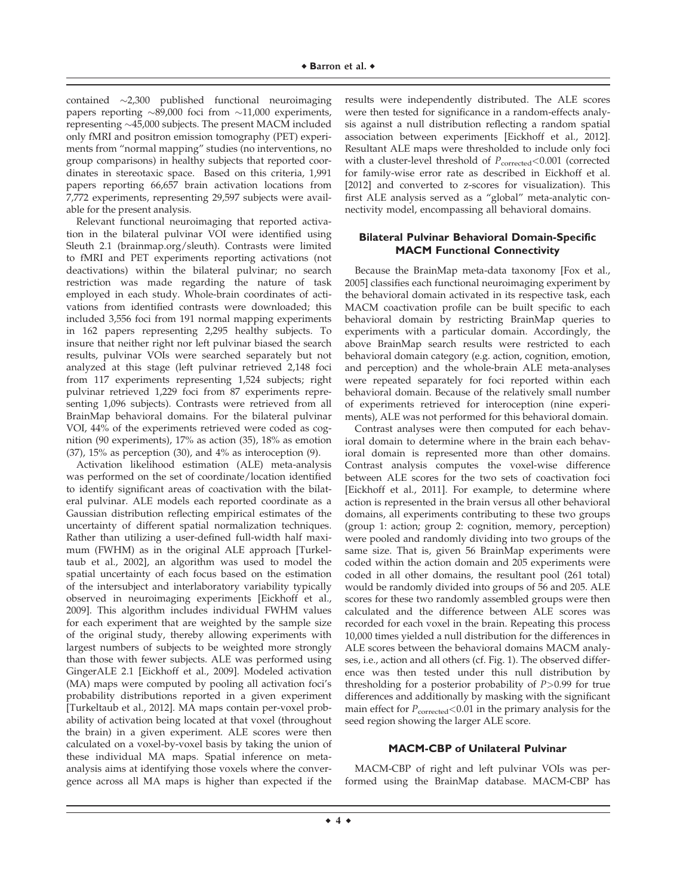contained -2,300 published functional neuroimaging papers reporting  $\sim 89,000$  foci from  $\sim 11,000$  experiments, representing -45,000 subjects. The present MACM included only fMRI and positron emission tomography (PET) experiments from "normal mapping" studies (no interventions, no group comparisons) in healthy subjects that reported coordinates in stereotaxic space. Based on this criteria, 1,991 papers reporting 66,657 brain activation locations from 7,772 experiments, representing 29,597 subjects were available for the present analysis.

Relevant functional neuroimaging that reported activation in the bilateral pulvinar VOI were identified using Sleuth 2.1 (brainmap.org/sleuth). Contrasts were limited to fMRI and PET experiments reporting activations (not deactivations) within the bilateral pulvinar; no search restriction was made regarding the nature of task employed in each study. Whole-brain coordinates of activations from identified contrasts were downloaded; this included 3,556 foci from 191 normal mapping experiments in 162 papers representing 2,295 healthy subjects. To insure that neither right nor left pulvinar biased the search results, pulvinar VOIs were searched separately but not analyzed at this stage (left pulvinar retrieved 2,148 foci from 117 experiments representing 1,524 subjects; right pulvinar retrieved 1,229 foci from 87 experiments representing 1,096 subjects). Contrasts were retrieved from all BrainMap behavioral domains. For the bilateral pulvinar VOI, 44% of the experiments retrieved were coded as cognition (90 experiments), 17% as action (35), 18% as emotion (37), 15% as perception (30), and 4% as interoception (9).

Activation likelihood estimation (ALE) meta-analysis was performed on the set of coordinate/location identified to identify significant areas of coactivation with the bilateral pulvinar. ALE models each reported coordinate as a Gaussian distribution reflecting empirical estimates of the uncertainty of different spatial normalization techniques. Rather than utilizing a user-defined full-width half maximum (FWHM) as in the original ALE approach [Turkeltaub et al., 2002], an algorithm was used to model the spatial uncertainty of each focus based on the estimation of the intersubject and interlaboratory variability typically observed in neuroimaging experiments [Eickhoff et al., 2009]. This algorithm includes individual FWHM values for each experiment that are weighted by the sample size of the original study, thereby allowing experiments with largest numbers of subjects to be weighted more strongly than those with fewer subjects. ALE was performed using GingerALE 2.1 [Eickhoff et al., 2009]. Modeled activation (MA) maps were computed by pooling all activation foci's probability distributions reported in a given experiment [Turkeltaub et al., 2012]. MA maps contain per-voxel probability of activation being located at that voxel (throughout the brain) in a given experiment. ALE scores were then calculated on a voxel-by-voxel basis by taking the union of these individual MA maps. Spatial inference on metaanalysis aims at identifying those voxels where the convergence across all MA maps is higher than expected if the results were independently distributed. The ALE scores were then tested for significance in a random-effects analysis against a null distribution reflecting a random spatial association between experiments [Eickhoff et al., 2012]. Resultant ALE maps were thresholded to include only foci with a cluster-level threshold of  $P_{\text{corrected}} < 0.001$  (corrected for family-wise error rate as described in Eickhoff et al. [2012] and converted to z-scores for visualization). This first ALE analysis served as a "global" meta-analytic connectivity model, encompassing all behavioral domains.

# **Bilateral Pulvinar Behavioral Domain-Specific MACM Functional Connectivity**

Because the BrainMap meta-data taxonomy [Fox et al., 2005] classifies each functional neuroimaging experiment by the behavioral domain activated in its respective task, each MACM coactivation profile can be built specific to each behavioral domain by restricting BrainMap queries to experiments with a particular domain. Accordingly, the above BrainMap search results were restricted to each behavioral domain category (e.g. action, cognition, emotion, and perception) and the whole-brain ALE meta-analyses were repeated separately for foci reported within each behavioral domain. Because of the relatively small number of experiments retrieved for interoception (nine experiments), ALE was not performed for this behavioral domain.

Contrast analyses were then computed for each behavioral domain to determine where in the brain each behavioral domain is represented more than other domains. Contrast analysis computes the voxel-wise difference between ALE scores for the two sets of coactivation foci [Eickhoff et al., 2011]. For example, to determine where action is represented in the brain versus all other behavioral domains, all experiments contributing to these two groups (group 1: action; group 2: cognition, memory, perception) were pooled and randomly dividing into two groups of the same size. That is, given 56 BrainMap experiments were coded within the action domain and 205 experiments were coded in all other domains, the resultant pool (261 total) would be randomly divided into groups of 56 and 205. ALE scores for these two randomly assembled groups were then calculated and the difference between ALE scores was recorded for each voxel in the brain. Repeating this process 10,000 times yielded a null distribution for the differences in ALE scores between the behavioral domains MACM analyses, i.e., action and all others (cf. Fig. 1). The observed difference was then tested under this null distribution by thresholding for a posterior probability of  $P > 0.99$  for true differences and additionally by masking with the significant main effect for  $P_{\text{corrected}} < 0.01$  in the primary analysis for the seed region showing the larger ALE score.

## **MACM-CBP of Unilateral Pulvinar**

MACM-CBP of right and left pulvinar VOIs was performed using the BrainMap database. MACM-CBP has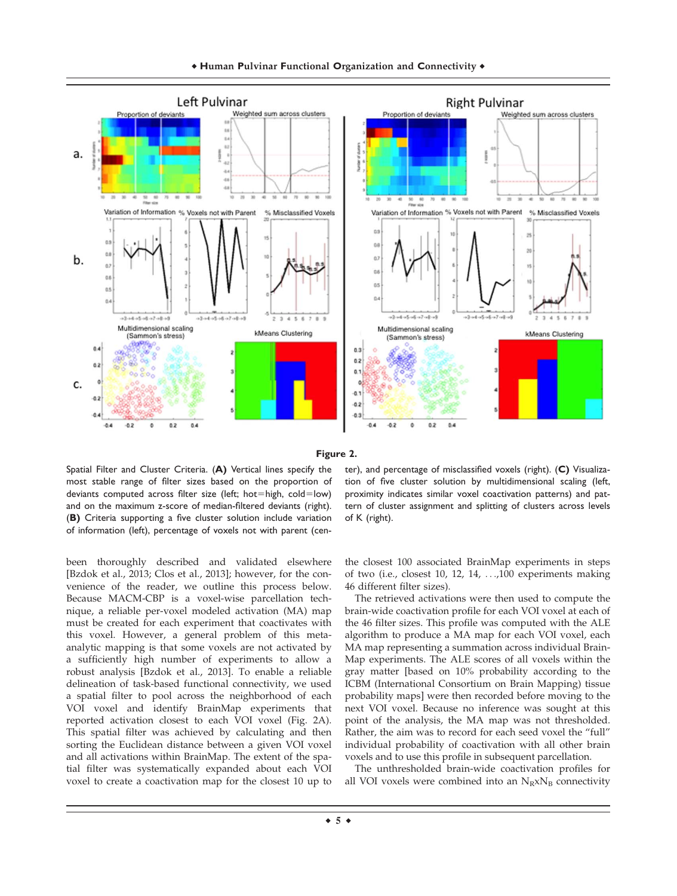



Spatial Filter and Cluster Criteria. (**A)** Vertical lines specify the most stable range of filter sizes based on the proportion of deviants computed across filter size (left; hot=high, cold=low) and on the maximum z-score of median-filtered deviants (right). (**B)** Criteria supporting a five cluster solution include variation of information (left), percentage of voxels not with parent (cen-

ter), and percentage of misclassified voxels (right). (**C)** Visualization of five cluster solution by multidimensional scaling (left, proximity indicates similar voxel coactivation patterns) and pattern of cluster assignment and splitting of clusters across levels of K (right).

been thoroughly described and validated elsewhere [Bzdok et al., 2013; Clos et al., 2013]; however, for the convenience of the reader, we outline this process below. Because MACM-CBP is a voxel-wise parcellation technique, a reliable per-voxel modeled activation (MA) map must be created for each experiment that coactivates with this voxel. However, a general problem of this metaanalytic mapping is that some voxels are not activated by a sufficiently high number of experiments to allow a robust analysis [Bzdok et al., 2013]. To enable a reliable delineation of task-based functional connectivity, we used a spatial filter to pool across the neighborhood of each VOI voxel and identify BrainMap experiments that reported activation closest to each VOI voxel (Fig. 2A). This spatial filter was achieved by calculating and then sorting the Euclidean distance between a given VOI voxel and all activations within BrainMap. The extent of the spatial filter was systematically expanded about each VOI voxel to create a coactivation map for the closest 10 up to

the closest 100 associated BrainMap experiments in steps of two (i.e., closest 10, 12, 14, ...,100 experiments making 46 different filter sizes).

The retrieved activations were then used to compute the brain-wide coactivation profile for each VOI voxel at each of the 46 filter sizes. This profile was computed with the ALE algorithm to produce a MA map for each VOI voxel, each MA map representing a summation across individual Brain-Map experiments. The ALE scores of all voxels within the gray matter [based on 10% probability according to the ICBM (International Consortium on Brain Mapping) tissue probability maps] were then recorded before moving to the next VOI voxel. Because no inference was sought at this point of the analysis, the MA map was not thresholded. Rather, the aim was to record for each seed voxel the "full" individual probability of coactivation with all other brain voxels and to use this profile in subsequent parcellation.

The unthresholded brain-wide coactivation profiles for all VOI voxels were combined into an  $N_RxN_B$  connectivity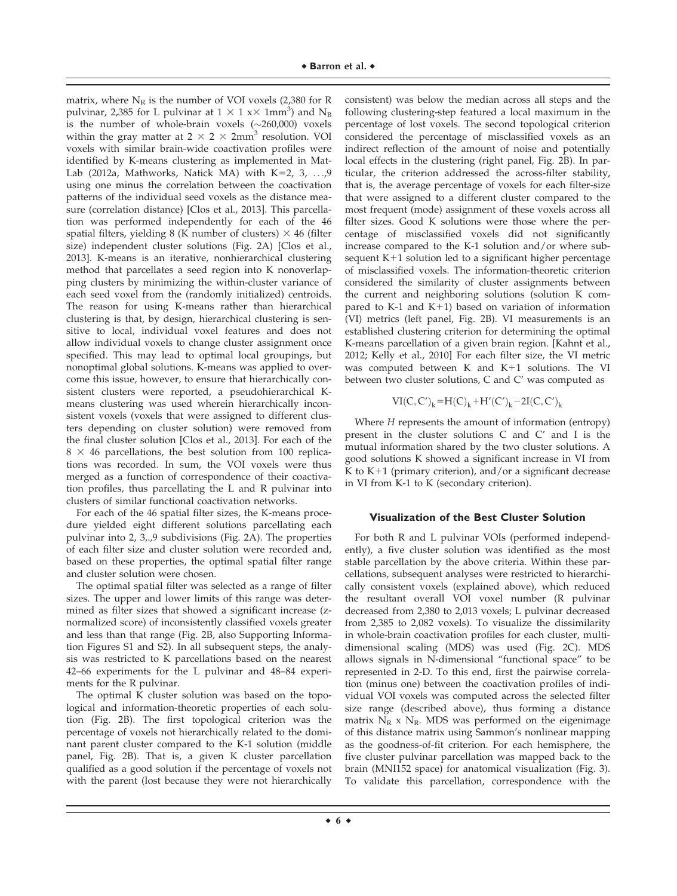matrix, where  $N_R$  is the number of VOI voxels (2,380 for R pulvinar, 2,385 for L pulvinar at  $1 \times 1$  x $\times$  1mm<sup>3</sup>) and  $\rm N_B$ is the number of whole-brain voxels  $(\sim]260,000)$  voxels within the gray matter at  $2 \times 2 \times 2$ mm<sup>3</sup> resolution. VOI voxels with similar brain-wide coactivation profiles were identified by K-means clustering as implemented in Mat-Lab (2012a, Mathworks, Natick MA) with K=2, 3, ...,9 using one minus the correlation between the coactivation patterns of the individual seed voxels as the distance measure (correlation distance) [Clos et al., 2013]. This parcellation was performed independently for each of the 46 spatial filters, yielding 8 (K number of clusters)  $\times$  46 (filter size) independent cluster solutions (Fig. 2A) [Clos et al., 2013]. K-means is an iterative, nonhierarchical clustering method that parcellates a seed region into K nonoverlapping clusters by minimizing the within-cluster variance of each seed voxel from the (randomly initialized) centroids. The reason for using K-means rather than hierarchical clustering is that, by design, hierarchical clustering is sensitive to local, individual voxel features and does not allow individual voxels to change cluster assignment once specified. This may lead to optimal local groupings, but nonoptimal global solutions. K-means was applied to overcome this issue, however, to ensure that hierarchically consistent clusters were reported, a pseudohierarchical Kmeans clustering was used wherein hierarchically inconsistent voxels (voxels that were assigned to different clusters depending on cluster solution) were removed from the final cluster solution [Clos et al., 2013]. For each of the  $8 \times 46$  parcellations, the best solution from 100 replications was recorded. In sum, the VOI voxels were thus merged as a function of correspondence of their coactivation profiles, thus parcellating the L and R pulvinar into clusters of similar functional coactivation networks.

For each of the 46 spatial filter sizes, the K-means procedure yielded eight different solutions parcellating each pulvinar into 2, 3,.,9 subdivisions (Fig. 2A). The properties of each filter size and cluster solution were recorded and, based on these properties, the optimal spatial filter range and cluster solution were chosen.

The optimal spatial filter was selected as a range of filter sizes. The upper and lower limits of this range was determined as filter sizes that showed a significant increase (znormalized score) of inconsistently classified voxels greater and less than that range (Fig. 2B, also Supporting Information Figures S1 and S2). In all subsequent steps, the analysis was restricted to K parcellations based on the nearest 42–66 experiments for the L pulvinar and 48–84 experiments for the R pulvinar.

The optimal K cluster solution was based on the topological and information-theoretic properties of each solution (Fig. 2B). The first topological criterion was the percentage of voxels not hierarchically related to the dominant parent cluster compared to the K-1 solution (middle panel, Fig. 2B). That is, a given K cluster parcellation qualified as a good solution if the percentage of voxels not with the parent (lost because they were not hierarchically consistent) was below the median across all steps and the following clustering-step featured a local maximum in the percentage of lost voxels. The second topological criterion considered the percentage of misclassified voxels as an indirect reflection of the amount of noise and potentially local effects in the clustering (right panel, Fig. 2B). In particular, the criterion addressed the across-filter stability, that is, the average percentage of voxels for each filter-size that were assigned to a different cluster compared to the most frequent (mode) assignment of these voxels across all filter sizes. Good K solutions were those where the percentage of misclassified voxels did not significantly increase compared to the K-1 solution and/or where subsequent  $K+1$  solution led to a significant higher percentage of misclassified voxels. The information-theoretic criterion considered the similarity of cluster assignments between the current and neighboring solutions (solution K compared to K-1 and K+1) based on variation of information (VI) metrics (left panel, Fig. 2B). VI measurements is an established clustering criterion for determining the optimal K-means parcellation of a given brain region. [Kahnt et al., 2012; Kelly et al., 2010] For each filter size, the VI metric was computed between  $K$  and  $K+1$  solutions. The VI between two cluster solutions, C and C' was computed as

$$
VI(C,C')_k\!\!=\!\!H(C)_k\!+\!H'(C')_k\!-\!2I(C,C')_k
$$

Where H represents the amount of information (entropy) present in the cluster solutions C and C' and I is the mutual information shared by the two cluster solutions. A good solutions K showed a significant increase in VI from K to  $K+1$  (primary criterion), and/or a significant decrease in VI from K-1 to K (secondary criterion).

## **Visualization of the Best Cluster Solution**

For both R and L pulvinar VOIs (performed independently), a five cluster solution was identified as the most stable parcellation by the above criteria. Within these parcellations, subsequent analyses were restricted to hierarchically consistent voxels (explained above), which reduced the resultant overall VOI voxel number (R pulvinar decreased from 2,380 to 2,013 voxels; L pulvinar decreased from 2,385 to 2,082 voxels). To visualize the dissimilarity in whole-brain coactivation profiles for each cluster, multidimensional scaling (MDS) was used (Fig. 2C). MDS allows signals in N-dimensional "functional space" to be represented in 2-D. To this end, first the pairwise correlation (minus one) between the coactivation profiles of individual VOI voxels was computed across the selected filter size range (described above), thus forming a distance matrix  $N_R$  x  $N_R$ . MDS was performed on the eigenimage of this distance matrix using Sammon's nonlinear mapping as the goodness-of-fit criterion. For each hemisphere, the five cluster pulvinar parcellation was mapped back to the brain (MNI152 space) for anatomical visualization (Fig. 3). To validate this parcellation, correspondence with the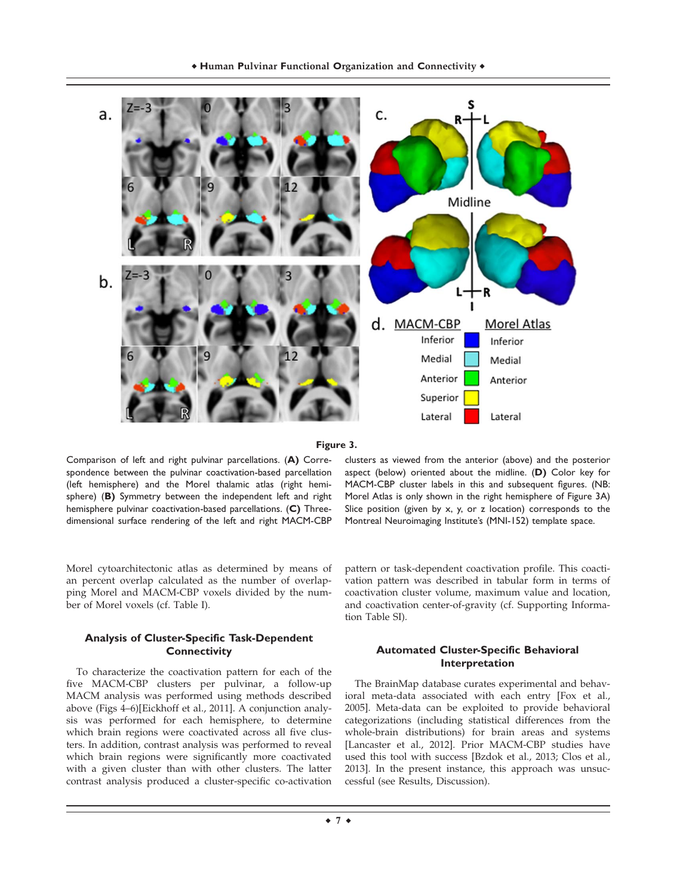



Comparison of left and right pulvinar parcellations. (**A)** Correspondence between the pulvinar coactivation-based parcellation (left hemisphere) and the Morel thalamic atlas (right hemisphere) (**B)** Symmetry between the independent left and right hemisphere pulvinar coactivation-based parcellations. (**C)** Threedimensional surface rendering of the left and right MACM-CBP

Morel cytoarchitectonic atlas as determined by means of an percent overlap calculated as the number of overlapping Morel and MACM-CBP voxels divided by the number of Morel voxels (cf. Table I).

# **Analysis of Cluster-Specific Task-Dependent Connectivity**

To characterize the coactivation pattern for each of the five MACM-CBP clusters per pulvinar, a follow-up MACM analysis was performed using methods described above (Figs 4–6)[Eickhoff et al., 2011]. A conjunction analysis was performed for each hemisphere, to determine which brain regions were coactivated across all five clusters. In addition, contrast analysis was performed to reveal which brain regions were significantly more coactivated with a given cluster than with other clusters. The latter contrast analysis produced a cluster-specific co-activation

clusters as viewed from the anterior (above) and the posterior aspect (below) oriented about the midline. (**D)** Color key for MACM-CBP cluster labels in this and subsequent figures. (NB: Morel Atlas is only shown in the right hemisphere of Figure 3A) Slice position (given by x, y, or z location) corresponds to the Montreal Neuroimaging Institute's (MNI-152) template space.

pattern or task-dependent coactivation profile. This coactivation pattern was described in tabular form in terms of coactivation cluster volume, maximum value and location, and coactivation center-of-gravity (cf. Supporting Information Table SI).

# **Automated Cluster-Specific Behavioral Interpretation**

The BrainMap database curates experimental and behavioral meta-data associated with each entry [Fox et al., 2005]. Meta-data can be exploited to provide behavioral categorizations (including statistical differences from the whole-brain distributions) for brain areas and systems [Lancaster et al., 2012]. Prior MACM-CBP studies have used this tool with success [Bzdok et al., 2013; Clos et al., 2013]. In the present instance, this approach was unsuccessful (see Results, Discussion).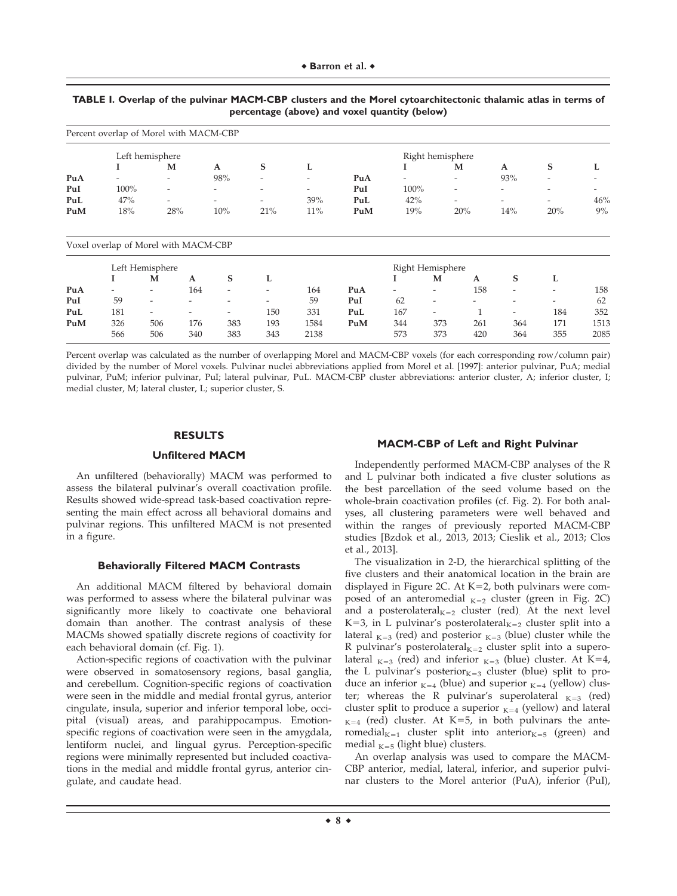|                  | Percent overlap of Morel with MACM-CBP |                          |                          |                          |                          |                          |                  |                                                      |                          |                          |                          |                          |
|------------------|----------------------------------------|--------------------------|--------------------------|--------------------------|--------------------------|--------------------------|------------------|------------------------------------------------------|--------------------------|--------------------------|--------------------------|--------------------------|
|                  | Left hemisphere                        |                          |                          |                          |                          |                          |                  | Right hemisphere                                     |                          |                          |                          |                          |
|                  |                                        | M                        | A                        |                          | S                        | L                        |                  |                                                      | M                        | A                        | S                        |                          |
| PuA              |                                        | $\overline{\phantom{0}}$ |                          | 98%                      | -                        | $\overline{\phantom{a}}$ | PuA              | $\overline{\phantom{0}}$                             | $\overline{\phantom{a}}$ | 93%                      | $\overline{\phantom{a}}$ |                          |
| PuI              | 100%                                   | $\overline{\phantom{a}}$ |                          |                          | -                        | $\overline{\phantom{a}}$ | PuI              | 100%                                                 | $\overline{\phantom{a}}$ | -                        | $\overline{\phantom{0}}$ | $\overline{\phantom{0}}$ |
| PuL              | 47%                                    | $\overline{a}$           | $\overline{\phantom{a}}$ |                          | $\overline{\phantom{0}}$ | 39%                      | PuL              | 42%                                                  | $\overline{\phantom{0}}$ | $\overline{\phantom{a}}$ | $\overline{\phantom{a}}$ | 46%                      |
| PuM              | 18%                                    | 28%                      |                          | 10%                      | 21%                      | 11%                      | PuM              | 19%                                                  | 20%                      | 14%                      | 20%                      | 9%                       |
|                  | Voxel overlap of Morel with MACM-CBP   |                          |                          |                          |                          |                          |                  |                                                      |                          |                          |                          |                          |
|                  | Left Hemisphere                        |                          |                          |                          |                          |                          | Right Hemisphere |                                                      |                          |                          |                          |                          |
|                  |                                        | M                        | A                        | S                        | L                        |                          |                  |                                                      | M<br>A                   | S                        | L                        |                          |
| P <sub>u</sub> A | $\overline{\phantom{a}}$               | $\overline{\phantom{a}}$ | 164                      | $\overline{\phantom{a}}$ |                          | 164                      | P <sub>u</sub> A | $\overline{\phantom{a}}$<br>$\overline{\phantom{0}}$ | 158                      | $\overline{\phantom{a}}$ |                          | 158                      |

# **TABLE I. Overlap of the pulvinar MACM-CBP clusters and the Morel cytoarchitectonic thalamic atlas in terms of percentage (above) and voxel quantity (below)**

| Percent overlap was calculated as the number of overlapping Morel and MACM-CBP voxels (for each corresponding row/column pair)          |
|-----------------------------------------------------------------------------------------------------------------------------------------|
| divided by the number of Morel voxels. Pulvinar nuclei abbreviations applied from Morel et al. [1997]: anterior pulvinar, PuA; medial   |
|                                                                                                                                         |
| pulvinar, PuM; inferior pulvinar, PuI; lateral pulvinar, PuL. MACM-CBP cluster abbreviations: anterior cluster, A; inferior cluster, I; |
| medial cluster, M; lateral cluster, L; superior cluster, S.                                                                             |

566 506 340 383 343 2138 573 373 420 364 355 2085

PuI 59 - - - - - 59 PuI 62 - - - - - - 62 PuL 181 - - - 150 331 PuL 167 - 1 - 184 352 PuM 326 506 176 383 193 1584 PuM 344 373 261 364 171 1513

#### **RESULTS**

# **Unfiltered MACM**

An unfiltered (behaviorally) MACM was performed to assess the bilateral pulvinar's overall coactivation profile. Results showed wide-spread task-based coactivation representing the main effect across all behavioral domains and pulvinar regions. This unfiltered MACM is not presented in a figure.

#### **Behaviorally Filtered MACM Contrasts**

An additional MACM filtered by behavioral domain was performed to assess where the bilateral pulvinar was significantly more likely to coactivate one behavioral domain than another. The contrast analysis of these MACMs showed spatially discrete regions of coactivity for each behavioral domain (cf. Fig. 1).

Action-specific regions of coactivation with the pulvinar were observed in somatosensory regions, basal ganglia, and cerebellum. Cognition-specific regions of coactivation were seen in the middle and medial frontal gyrus, anterior cingulate, insula, superior and inferior temporal lobe, occipital (visual) areas, and parahippocampus. Emotionspecific regions of coactivation were seen in the amygdala, lentiform nuclei, and lingual gyrus. Perception-specific regions were minimally represented but included coactivations in the medial and middle frontal gyrus, anterior cingulate, and caudate head.

## **MACM-CBP of Left and Right Pulvinar**

Independently performed MACM-CBP analyses of the R and L pulvinar both indicated a five cluster solutions as the best parcellation of the seed volume based on the whole-brain coactivation profiles (cf. Fig. 2). For both analyses, all clustering parameters were well behaved and within the ranges of previously reported MACM-CBP studies [Bzdok et al., 2013, 2013; Cieslik et al., 2013; Clos et al., 2013].

The visualization in 2-D, the hierarchical splitting of the five clusters and their anatomical location in the brain are displayed in Figure 2C. At  $K=2$ , both pulvinars were composed of an anteromedial  $_{K=2}$  cluster (green in Fig. 2C) and a posterolateral $_{K=2}$  cluster (red). At the next level  $K=3$ , in L pulvinar's posterolateral $_{K=2}$  cluster split into a lateral  $_{K=3}$  (red) and posterior  $_{K=3}$  (blue) cluster while the R pulvinar's posterolateral $_{K=2}$  cluster split into a superolateral  $_{K=3}$  (red) and inferior  $_{K=3}$  (blue) cluster. At K=4, the L pulvinar's posterior $K=3$  cluster (blue) split to produce an inferior  $K=4$  (blue) and superior  $K=4$  (yellow) cluster; whereas the R pulvinar's superolateral  $_{K=3}$  (red) cluster split to produce a superior  $K=4$  (yellow) and lateral  $_{K=4}$  (red) cluster. At K=5, in both pulvinars the anteromedial $_{K=1}$  cluster split into anterior $_{K=5}$  (green) and medial  $_{K=5}$  (light blue) clusters.

An overlap analysis was used to compare the MACM-CBP anterior, medial, lateral, inferior, and superior pulvinar clusters to the Morel anterior (PuA), inferior (PuI),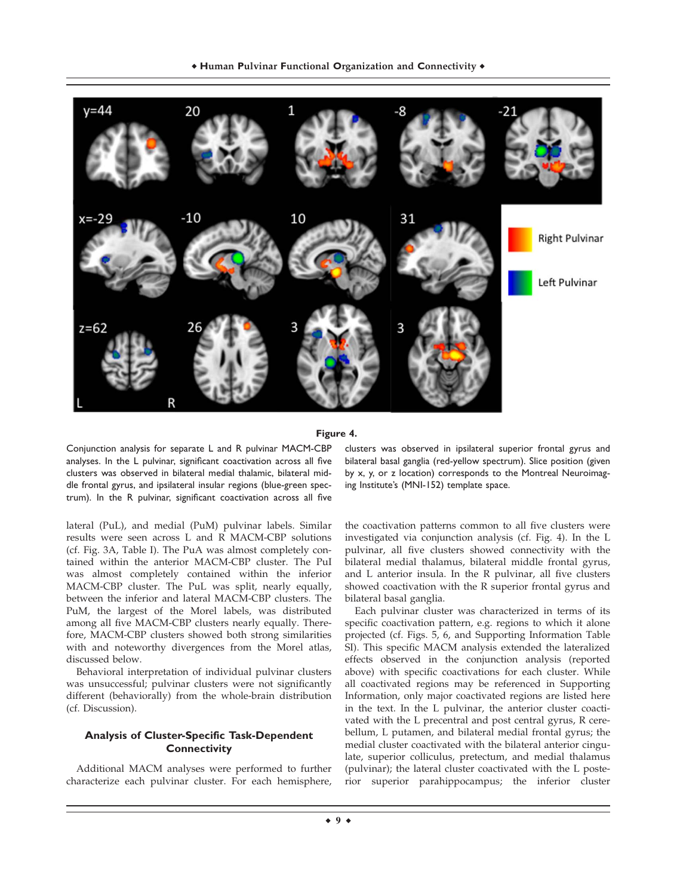

**Figure 4.**

Conjunction analysis for separate L and R pulvinar MACM-CBP analyses. In the L pulvinar, significant coactivation across all five clusters was observed in bilateral medial thalamic, bilateral middle frontal gyrus, and ipsilateral insular regions (blue-green spectrum). In the R pulvinar, significant coactivation across all five

lateral (PuL), and medial (PuM) pulvinar labels. Similar results were seen across L and R MACM-CBP solutions (cf. Fig. 3A, Table I). The PuA was almost completely contained within the anterior MACM-CBP cluster. The PuI was almost completely contained within the inferior MACM-CBP cluster. The PuL was split, nearly equally, between the inferior and lateral MACM-CBP clusters. The PuM, the largest of the Morel labels, was distributed among all five MACM-CBP clusters nearly equally. Therefore, MACM-CBP clusters showed both strong similarities with and noteworthy divergences from the Morel atlas, discussed below.

Behavioral interpretation of individual pulvinar clusters was unsuccessful; pulvinar clusters were not significantly different (behaviorally) from the whole-brain distribution (cf. Discussion).

# **Analysis of Cluster-Specific Task-Dependent Connectivity**

Additional MACM analyses were performed to further characterize each pulvinar cluster. For each hemisphere, clusters was observed in ipsilateral superior frontal gyrus and bilateral basal ganglia (red-yellow spectrum). Slice position (given by x, y, or z location) corresponds to the Montreal Neuroimaging Institute's (MNI-152) template space.

the coactivation patterns common to all five clusters were investigated via conjunction analysis (cf. Fig. 4). In the L pulvinar, all five clusters showed connectivity with the bilateral medial thalamus, bilateral middle frontal gyrus, and L anterior insula. In the R pulvinar, all five clusters showed coactivation with the R superior frontal gyrus and bilateral basal ganglia.

Each pulvinar cluster was characterized in terms of its specific coactivation pattern, e.g. regions to which it alone projected (cf. Figs. 5, 6, and Supporting Information Table SI). This specific MACM analysis extended the lateralized effects observed in the conjunction analysis (reported above) with specific coactivations for each cluster. While all coactivated regions may be referenced in Supporting Information, only major coactivated regions are listed here in the text. In the L pulvinar, the anterior cluster coactivated with the L precentral and post central gyrus, R cerebellum, L putamen, and bilateral medial frontal gyrus; the medial cluster coactivated with the bilateral anterior cingulate, superior colliculus, pretectum, and medial thalamus (pulvinar); the lateral cluster coactivated with the L posterior superior parahippocampus; the inferior cluster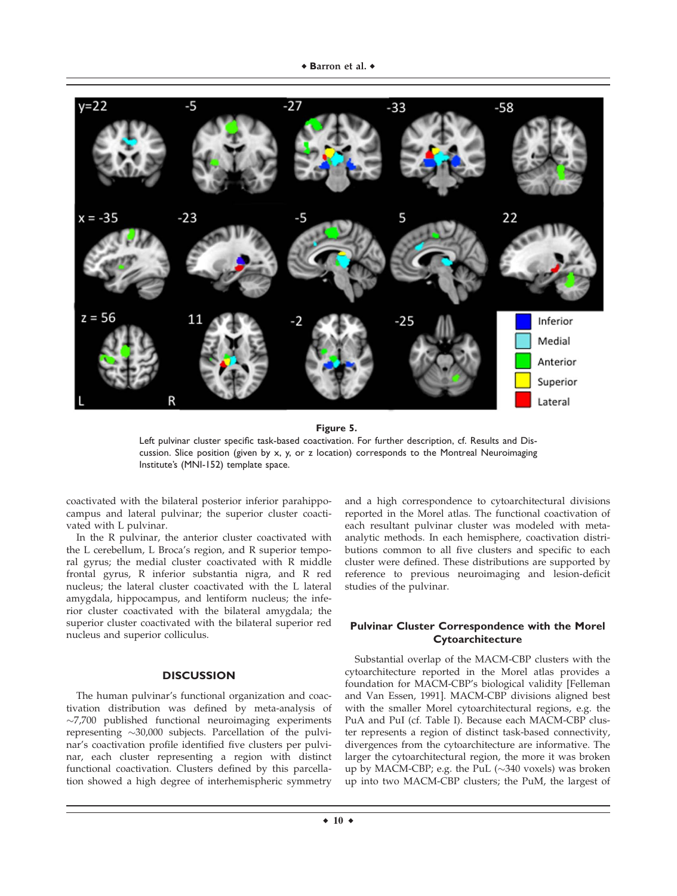

**Figure 5.**

Left pulvinar cluster specific task-based coactivation. For further description, cf. Results and Discussion. Slice position (given by x, y, or z location) corresponds to the Montreal Neuroimaging Institute's (MNI-152) template space.

coactivated with the bilateral posterior inferior parahippocampus and lateral pulvinar; the superior cluster coactivated with L pulvinar.

In the R pulvinar, the anterior cluster coactivated with the L cerebellum, L Broca's region, and R superior temporal gyrus; the medial cluster coactivated with R middle frontal gyrus, R inferior substantia nigra, and R red nucleus; the lateral cluster coactivated with the L lateral amygdala, hippocampus, and lentiform nucleus; the inferior cluster coactivated with the bilateral amygdala; the superior cluster coactivated with the bilateral superior red nucleus and superior colliculus.

## **DISCUSSION**

The human pulvinar's functional organization and coactivation distribution was defined by meta-analysis of -7,700 published functional neuroimaging experiments representing ~30,000 subjects. Parcellation of the pulvinar's coactivation profile identified five clusters per pulvinar, each cluster representing a region with distinct functional coactivation. Clusters defined by this parcellation showed a high degree of interhemispheric symmetry

and a high correspondence to cytoarchitectural divisions reported in the Morel atlas. The functional coactivation of each resultant pulvinar cluster was modeled with metaanalytic methods. In each hemisphere, coactivation distributions common to all five clusters and specific to each cluster were defined. These distributions are supported by reference to previous neuroimaging and lesion-deficit studies of the pulvinar.

# **Pulvinar Cluster Correspondence with the Morel Cytoarchitecture**

Substantial overlap of the MACM-CBP clusters with the cytoarchitecture reported in the Morel atlas provides a foundation for MACM-CBP's biological validity [Felleman and Van Essen, 1991]. MACM-CBP divisions aligned best with the smaller Morel cytoarchitectural regions, e.g. the PuA and PuI (cf. Table I). Because each MACM-CBP cluster represents a region of distinct task-based connectivity, divergences from the cytoarchitecture are informative. The larger the cytoarchitectural region, the more it was broken up by MACM-CBP; e.g. the PuL  $(\sim]340$  voxels) was broken up into two MACM-CBP clusters; the PuM, the largest of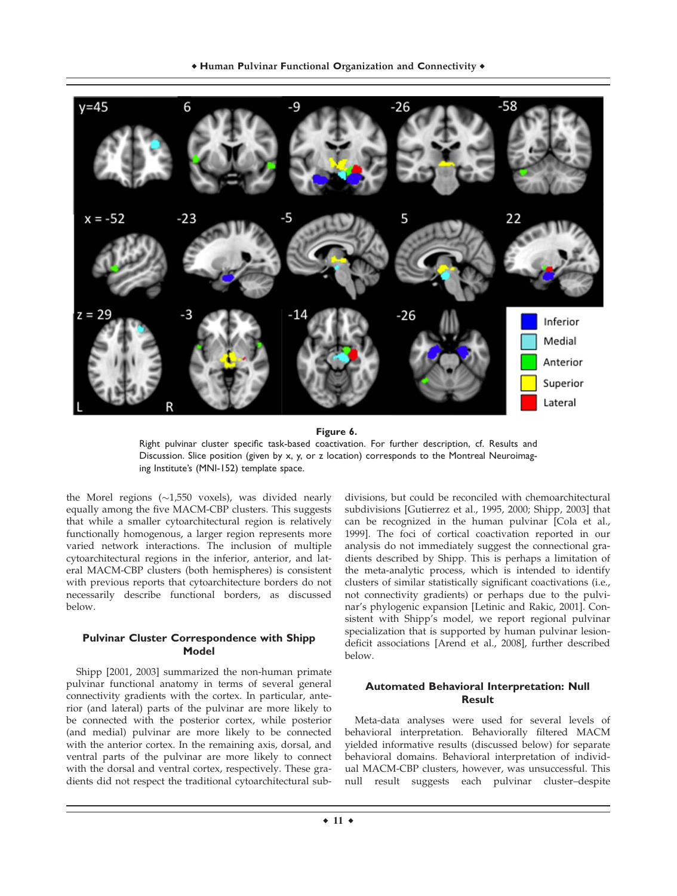

**Figure 6.**

Right pulvinar cluster specific task-based coactivation. For further description, cf. Results and Discussion. Slice position (given by x, y, or z location) corresponds to the Montreal Neuroimaging Institute's (MNI-152) template space.

the Morel regions  $(\sim1,550$  voxels), was divided nearly equally among the five MACM-CBP clusters. This suggests that while a smaller cytoarchitectural region is relatively functionally homogenous, a larger region represents more varied network interactions. The inclusion of multiple cytoarchitectural regions in the inferior, anterior, and lateral MACM-CBP clusters (both hemispheres) is consistent with previous reports that cytoarchitecture borders do not necessarily describe functional borders, as discussed below.

# **Pulvinar Cluster Correspondence with Shipp Model**

Shipp [2001, 2003] summarized the non-human primate pulvinar functional anatomy in terms of several general connectivity gradients with the cortex. In particular, anterior (and lateral) parts of the pulvinar are more likely to be connected with the posterior cortex, while posterior (and medial) pulvinar are more likely to be connected with the anterior cortex. In the remaining axis, dorsal, and ventral parts of the pulvinar are more likely to connect with the dorsal and ventral cortex, respectively. These gradients did not respect the traditional cytoarchitectural subdivisions, but could be reconciled with chemoarchitectural subdivisions [Gutierrez et al., 1995, 2000; Shipp, 2003] that can be recognized in the human pulvinar [Cola et al., 1999]. The foci of cortical coactivation reported in our analysis do not immediately suggest the connectional gradients described by Shipp. This is perhaps a limitation of the meta-analytic process, which is intended to identify clusters of similar statistically significant coactivations (i.e., not connectivity gradients) or perhaps due to the pulvinar's phylogenic expansion [Letinic and Rakic, 2001]. Consistent with Shipp's model, we report regional pulvinar specialization that is supported by human pulvinar lesiondeficit associations [Arend et al., 2008], further described below.

# **Automated Behavioral Interpretation: Null Result**

Meta-data analyses were used for several levels of behavioral interpretation. Behaviorally filtered MACM yielded informative results (discussed below) for separate behavioral domains. Behavioral interpretation of individual MACM-CBP clusters, however, was unsuccessful. This null result suggests each pulvinar cluster–despite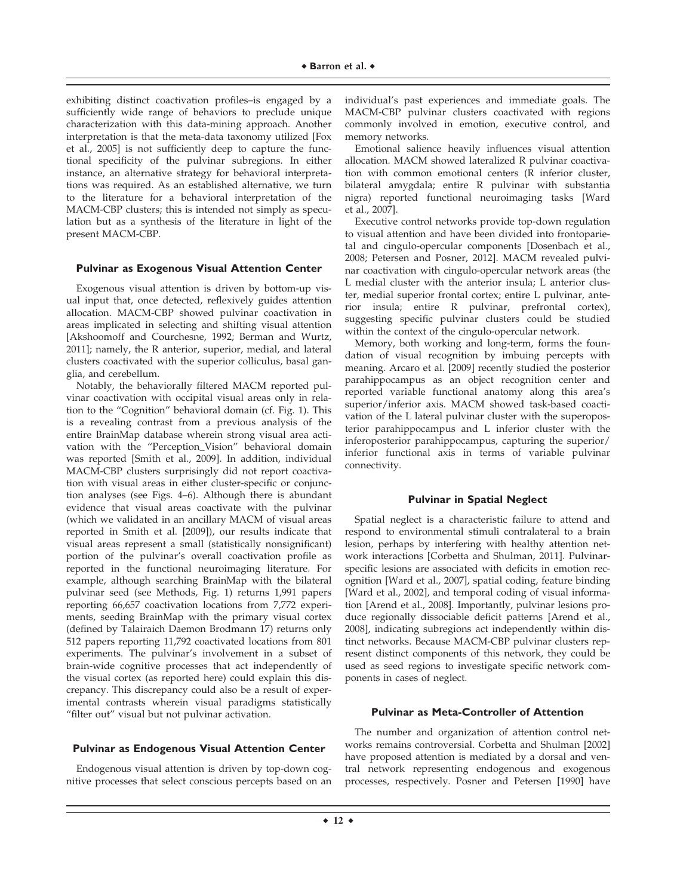exhibiting distinct coactivation profiles–is engaged by a sufficiently wide range of behaviors to preclude unique characterization with this data-mining approach. Another interpretation is that the meta-data taxonomy utilized [Fox et al., 2005] is not sufficiently deep to capture the functional specificity of the pulvinar subregions. In either instance, an alternative strategy for behavioral interpretations was required. As an established alternative, we turn to the literature for a behavioral interpretation of the MACM-CBP clusters; this is intended not simply as speculation but as a synthesis of the literature in light of the present MACM-CBP.

#### **Pulvinar as Exogenous Visual Attention Center**

Exogenous visual attention is driven by bottom-up visual input that, once detected, reflexively guides attention allocation. MACM-CBP showed pulvinar coactivation in areas implicated in selecting and shifting visual attention [Akshoomoff and Courchesne, 1992; Berman and Wurtz, 2011]; namely, the R anterior, superior, medial, and lateral clusters coactivated with the superior colliculus, basal ganglia, and cerebellum.

Notably, the behaviorally filtered MACM reported pulvinar coactivation with occipital visual areas only in relation to the "Cognition" behavioral domain (cf. Fig. 1). This is a revealing contrast from a previous analysis of the entire BrainMap database wherein strong visual area activation with the "Perception\_Vision" behavioral domain was reported [Smith et al., 2009]. In addition, individual MACM-CBP clusters surprisingly did not report coactivation with visual areas in either cluster-specific or conjunction analyses (see Figs. 4–6). Although there is abundant evidence that visual areas coactivate with the pulvinar (which we validated in an ancillary MACM of visual areas reported in Smith et al. [2009]), our results indicate that visual areas represent a small (statistically nonsignificant) portion of the pulvinar's overall coactivation profile as reported in the functional neuroimaging literature. For example, although searching BrainMap with the bilateral pulvinar seed (see Methods, Fig. 1) returns 1,991 papers reporting 66,657 coactivation locations from 7,772 experiments, seeding BrainMap with the primary visual cortex (defined by Talairaich Daemon Brodmann 17) returns only 512 papers reporting 11,792 coactivated locations from 801 experiments. The pulvinar's involvement in a subset of brain-wide cognitive processes that act independently of the visual cortex (as reported here) could explain this discrepancy. This discrepancy could also be a result of experimental contrasts wherein visual paradigms statistically "filter out" visual but not pulvinar activation.

## **Pulvinar as Endogenous Visual Attention Center**

Endogenous visual attention is driven by top-down cognitive processes that select conscious percepts based on an individual's past experiences and immediate goals. The MACM-CBP pulvinar clusters coactivated with regions commonly involved in emotion, executive control, and memory networks.

Emotional salience heavily influences visual attention allocation. MACM showed lateralized R pulvinar coactivation with common emotional centers (R inferior cluster, bilateral amygdala; entire R pulvinar with substantia nigra) reported functional neuroimaging tasks [Ward et al., 2007].

Executive control networks provide top-down regulation to visual attention and have been divided into frontoparietal and cingulo-opercular components [Dosenbach et al., 2008; Petersen and Posner, 2012]. MACM revealed pulvinar coactivation with cingulo-opercular network areas (the L medial cluster with the anterior insula; L anterior cluster, medial superior frontal cortex; entire L pulvinar, anterior insula; entire R pulvinar, prefrontal cortex), suggesting specific pulvinar clusters could be studied within the context of the cingulo-opercular network.

Memory, both working and long-term, forms the foundation of visual recognition by imbuing percepts with meaning. Arcaro et al. [2009] recently studied the posterior parahippocampus as an object recognition center and reported variable functional anatomy along this area's superior/inferior axis. MACM showed task-based coactivation of the L lateral pulvinar cluster with the superoposterior parahippocampus and L inferior cluster with the inferoposterior parahippocampus, capturing the superior/ inferior functional axis in terms of variable pulvinar connectivity.

## **Pulvinar in Spatial Neglect**

Spatial neglect is a characteristic failure to attend and respond to environmental stimuli contralateral to a brain lesion, perhaps by interfering with healthy attention network interactions [Corbetta and Shulman, 2011]. Pulvinarspecific lesions are associated with deficits in emotion recognition [Ward et al., 2007], spatial coding, feature binding [Ward et al., 2002], and temporal coding of visual information [Arend et al., 2008]. Importantly, pulvinar lesions produce regionally dissociable deficit patterns [Arend et al., 2008], indicating subregions act independently within distinct networks. Because MACM-CBP pulvinar clusters represent distinct components of this network, they could be used as seed regions to investigate specific network components in cases of neglect.

### **Pulvinar as Meta-Controller of Attention**

The number and organization of attention control networks remains controversial. Corbetta and Shulman [2002] have proposed attention is mediated by a dorsal and ventral network representing endogenous and exogenous processes, respectively. Posner and Petersen [1990] have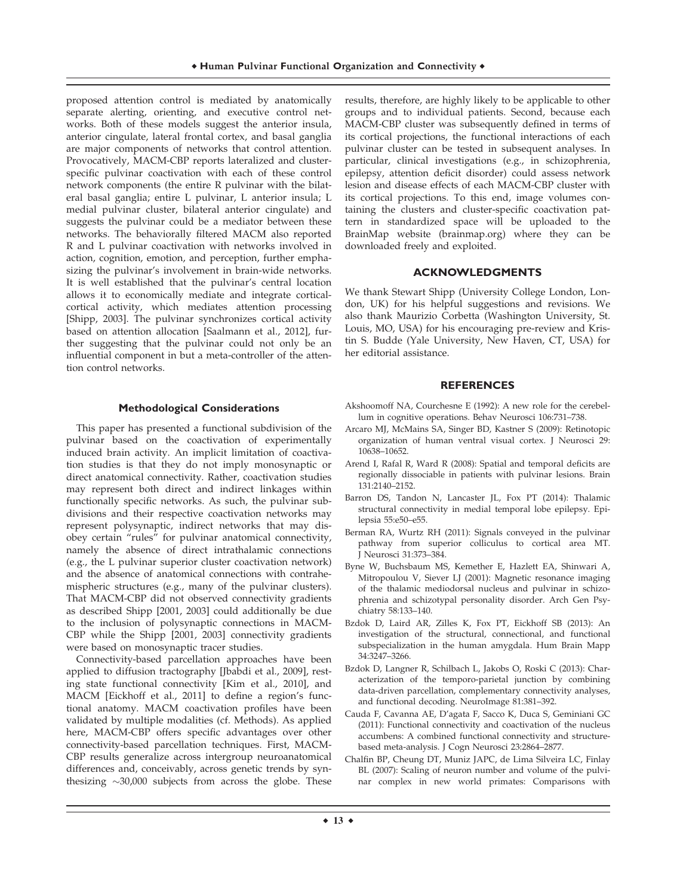proposed attention control is mediated by anatomically separate alerting, orienting, and executive control networks. Both of these models suggest the anterior insula, anterior cingulate, lateral frontal cortex, and basal ganglia are major components of networks that control attention. Provocatively, MACM-CBP reports lateralized and clusterspecific pulvinar coactivation with each of these control network components (the entire R pulvinar with the bilateral basal ganglia; entire L pulvinar, L anterior insula; L medial pulvinar cluster, bilateral anterior cingulate) and suggests the pulvinar could be a mediator between these networks. The behaviorally filtered MACM also reported R and L pulvinar coactivation with networks involved in action, cognition, emotion, and perception, further emphasizing the pulvinar's involvement in brain-wide networks. It is well established that the pulvinar's central location allows it to economically mediate and integrate corticalcortical activity, which mediates attention processing [Shipp, 2003]. The pulvinar synchronizes cortical activity based on attention allocation [Saalmann et al., 2012], further suggesting that the pulvinar could not only be an influential component in but a meta-controller of the attention control networks.

## **Methodological Considerations**

This paper has presented a functional subdivision of the pulvinar based on the coactivation of experimentally induced brain activity. An implicit limitation of coactivation studies is that they do not imply monosynaptic or direct anatomical connectivity. Rather, coactivation studies may represent both direct and indirect linkages within functionally specific networks. As such, the pulvinar subdivisions and their respective coactivation networks may represent polysynaptic, indirect networks that may disobey certain "rules" for pulvinar anatomical connectivity, namely the absence of direct intrathalamic connections (e.g., the L pulvinar superior cluster coactivation network) and the absence of anatomical connections with contrahemispheric structures (e.g., many of the pulvinar clusters). That MACM-CBP did not observed connectivity gradients as described Shipp [2001, 2003] could additionally be due to the inclusion of polysynaptic connections in MACM-CBP while the Shipp [2001, 2003] connectivity gradients were based on monosynaptic tracer studies.

Connectivity-based parcellation approaches have been applied to diffusion tractography [Jbabdi et al., 2009], resting state functional connectivity [Kim et al., 2010], and MACM [Eickhoff et al., 2011] to define a region's functional anatomy. MACM coactivation profiles have been validated by multiple modalities (cf. Methods). As applied here, MACM-CBP offers specific advantages over other connectivity-based parcellation techniques. First, MACM-CBP results generalize across intergroup neuroanatomical differences and, conceivably, across genetic trends by synthesizing  $\sim$ 30,000 subjects from across the globe. These results, therefore, are highly likely to be applicable to other groups and to individual patients. Second, because each MACM-CBP cluster was subsequently defined in terms of its cortical projections, the functional interactions of each pulvinar cluster can be tested in subsequent analyses. In particular, clinical investigations (e.g., in schizophrenia, epilepsy, attention deficit disorder) could assess network lesion and disease effects of each MACM-CBP cluster with its cortical projections. To this end, image volumes containing the clusters and cluster-specific coactivation pattern in standardized space will be uploaded to the BrainMap website (brainmap.org) where they can be downloaded freely and exploited.

#### **ACKNOWLEDGMENTS**

We thank Stewart Shipp (University College London, London, UK) for his helpful suggestions and revisions. We also thank Maurizio Corbetta (Washington University, St. Louis, MO, USA) for his encouraging pre-review and Kristin S. Budde (Yale University, New Haven, CT, USA) for her editorial assistance.

#### **REFERENCES**

- Akshoomoff NA, Courchesne E (1992): A new role for the cerebellum in cognitive operations. Behav Neurosci 106:731–738.
- Arcaro MJ, McMains SA, Singer BD, Kastner S (2009): Retinotopic organization of human ventral visual cortex. J Neurosci 29: 10638–10652.
- Arend I, Rafal R, Ward R (2008): Spatial and temporal deficits are regionally dissociable in patients with pulvinar lesions. Brain 131:2140–2152.
- Barron DS, Tandon N, Lancaster JL, Fox PT (2014): Thalamic structural connectivity in medial temporal lobe epilepsy. Epilepsia 55:e50–e55.
- Berman RA, Wurtz RH (2011): Signals conveyed in the pulvinar pathway from superior colliculus to cortical area MT. J Neurosci 31:373–384.
- Byne W, Buchsbaum MS, Kemether E, Hazlett EA, Shinwari A, Mitropoulou V, Siever LJ (2001): Magnetic resonance imaging of the thalamic mediodorsal nucleus and pulvinar in schizophrenia and schizotypal personality disorder. Arch Gen Psychiatry 58:133–140.
- Bzdok D, Laird AR, Zilles K, Fox PT, Eickhoff SB (2013): An investigation of the structural, connectional, and functional subspecialization in the human amygdala. Hum Brain Mapp 34:3247–3266.
- Bzdok D, Langner R, Schilbach L, Jakobs O, Roski C (2013): Characterization of the temporo-parietal junction by combining data-driven parcellation, complementary connectivity analyses, and functional decoding. NeuroImage 81:381–392.
- Cauda F, Cavanna AE, D'agata F, Sacco K, Duca S, Geminiani GC (2011): Functional connectivity and coactivation of the nucleus accumbens: A combined functional connectivity and structurebased meta-analysis. J Cogn Neurosci 23:2864–2877.
- Chalfin BP, Cheung DT, Muniz JAPC, de Lima Silveira LC, Finlay BL (2007): Scaling of neuron number and volume of the pulvinar complex in new world primates: Comparisons with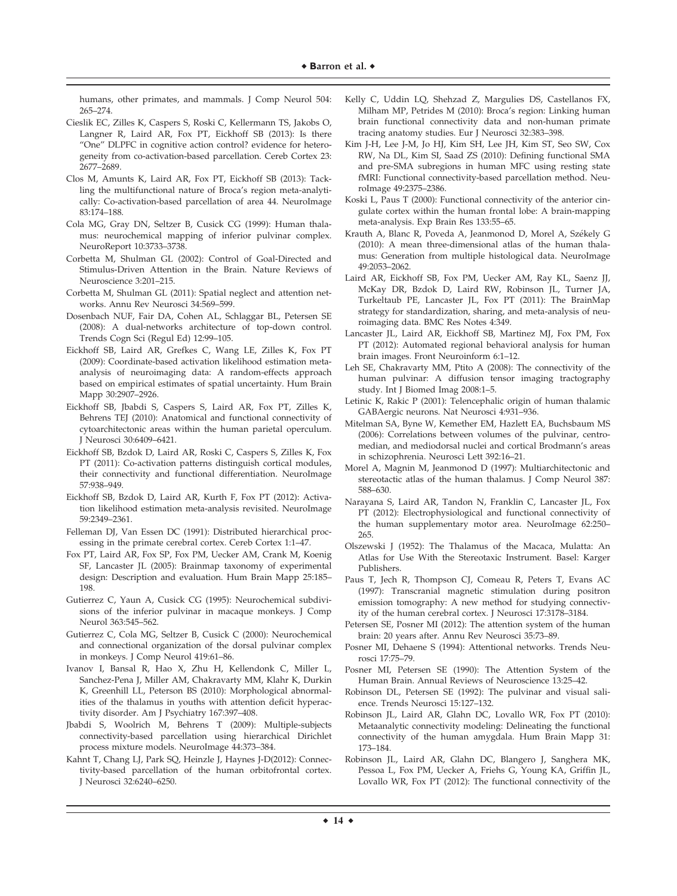humans, other primates, and mammals. J Comp Neurol 504: 265–274.

- Cieslik EC, Zilles K, Caspers S, Roski C, Kellermann TS, Jakobs O, Langner R, Laird AR, Fox PT, Eickhoff SB (2013): Is there "One" DLPFC in cognitive action control? evidence for heterogeneity from co-activation-based parcellation. Cereb Cortex 23: 2677–2689.
- Clos M, Amunts K, Laird AR, Fox PT, Eickhoff SB (2013): Tackling the multifunctional nature of Broca's region meta-analytically: Co-activation-based parcellation of area 44. NeuroImage 83:174–188.
- Cola MG, Gray DN, Seltzer B, Cusick CG (1999): Human thalamus: neurochemical mapping of inferior pulvinar complex. NeuroReport 10:3733–3738.
- Corbetta M, Shulman GL (2002): Control of Goal-Directed and Stimulus-Driven Attention in the Brain. Nature Reviews of Neuroscience 3:201–215.
- Corbetta M, Shulman GL (2011): Spatial neglect and attention networks. Annu Rev Neurosci 34:569–599.
- Dosenbach NUF, Fair DA, Cohen AL, Schlaggar BL, Petersen SE (2008): A dual-networks architecture of top-down control. Trends Cogn Sci (Regul Ed) 12:99–105.
- Eickhoff SB, Laird AR, Grefkes C, Wang LE, Zilles K, Fox PT (2009): Coordinate-based activation likelihood estimation metaanalysis of neuroimaging data: A random-effects approach based on empirical estimates of spatial uncertainty. Hum Brain Mapp 30:2907–2926.
- Eickhoff SB, Jbabdi S, Caspers S, Laird AR, Fox PT, Zilles K, Behrens TEJ (2010): Anatomical and functional connectivity of cytoarchitectonic areas within the human parietal operculum. J Neurosci 30:6409–6421.
- Eickhoff SB, Bzdok D, Laird AR, Roski C, Caspers S, Zilles K, Fox PT (2011): Co-activation patterns distinguish cortical modules, their connectivity and functional differentiation. NeuroImage 57:938–949.
- Eickhoff SB, Bzdok D, Laird AR, Kurth F, Fox PT (2012): Activation likelihood estimation meta-analysis revisited. NeuroImage 59:2349–2361.
- Felleman DJ, Van Essen DC (1991): Distributed hierarchical processing in the primate cerebral cortex. Cereb Cortex 1:1–47.
- Fox PT, Laird AR, Fox SP, Fox PM, Uecker AM, Crank M, Koenig SF, Lancaster JL (2005): Brainmap taxonomy of experimental design: Description and evaluation. Hum Brain Mapp 25:185– 198.
- Gutierrez C, Yaun A, Cusick CG (1995): Neurochemical subdivisions of the inferior pulvinar in macaque monkeys. J Comp Neurol 363:545–562.
- Gutierrez C, Cola MG, Seltzer B, Cusick C (2000): Neurochemical and connectional organization of the dorsal pulvinar complex in monkeys. J Comp Neurol 419:61–86.
- Ivanov I, Bansal R, Hao X, Zhu H, Kellendonk C, Miller L, Sanchez-Pena J, Miller AM, Chakravarty MM, Klahr K, Durkin K, Greenhill LL, Peterson BS (2010): Morphological abnormalities of the thalamus in youths with attention deficit hyperactivity disorder. Am J Psychiatry 167:397–408.
- Jbabdi S, Woolrich M, Behrens T (2009): Multiple-subjects connectivity-based parcellation using hierarchical Dirichlet process mixture models. NeuroImage 44:373–384.
- Kahnt T, Chang LJ, Park SQ, Heinzle J, Haynes J-D(2012): Connectivity-based parcellation of the human orbitofrontal cortex. J Neurosci 32:6240–6250.
- Kelly C, Uddin LQ, Shehzad Z, Margulies DS, Castellanos FX, Milham MP, Petrides M (2010): Broca's region: Linking human brain functional connectivity data and non-human primate tracing anatomy studies. Eur J Neurosci 32:383–398.
- Kim J-H, Lee J-M, Jo HJ, Kim SH, Lee JH, Kim ST, Seo SW, Cox RW, Na DL, Kim SI, Saad ZS (2010): Defining functional SMA and pre-SMA subregions in human MFC using resting state fMRI: Functional connectivity-based parcellation method. NeuroImage 49:2375–2386.
- Koski L, Paus T (2000): Functional connectivity of the anterior cingulate cortex within the human frontal lobe: A brain-mapping meta-analysis. Exp Brain Res 133:55–65.
- Krauth A, Blanc R, Poveda A, Jeanmonod D, Morel A, Székely G (2010): A mean three-dimensional atlas of the human thalamus: Generation from multiple histological data. NeuroImage 49:2053–2062.
- Laird AR, Eickhoff SB, Fox PM, Uecker AM, Ray KL, Saenz JJ, McKay DR, Bzdok D, Laird RW, Robinson JL, Turner JA, Turkeltaub PE, Lancaster JL, Fox PT (2011): The BrainMap strategy for standardization, sharing, and meta-analysis of neuroimaging data. BMC Res Notes 4:349.
- Lancaster JL, Laird AR, Eickhoff SB, Martinez MJ, Fox PM, Fox PT (2012): Automated regional behavioral analysis for human brain images. Front Neuroinform 6:1–12.
- Leh SE, Chakravarty MM, Ptito A (2008): The connectivity of the human pulvinar: A diffusion tensor imaging tractography study. Int J Biomed Imag 2008:1–5.
- Letinic K, Rakic P (2001): Telencephalic origin of human thalamic GABAergic neurons. Nat Neurosci 4:931–936.
- Mitelman SA, Byne W, Kemether EM, Hazlett EA, Buchsbaum MS (2006): Correlations between volumes of the pulvinar, centromedian, and mediodorsal nuclei and cortical Brodmann's areas in schizophrenia. Neurosci Lett 392:16–21.
- Morel A, Magnin M, Jeanmonod D (1997): Multiarchitectonic and stereotactic atlas of the human thalamus. J Comp Neurol 387: 588–630.
- Narayana S, Laird AR, Tandon N, Franklin C, Lancaster JL, Fox PT (2012): Electrophysiological and functional connectivity of the human supplementary motor area. NeuroImage 62:250– 265.
- Olszewski J (1952): The Thalamus of the Macaca, Mulatta: An Atlas for Use With the Stereotaxic Instrument. Basel: Karger Publishers.
- Paus T, Jech R, Thompson CJ, Comeau R, Peters T, Evans AC (1997): Transcranial magnetic stimulation during positron emission tomography: A new method for studying connectivity of the human cerebral cortex. J Neurosci 17:3178–3184.
- Petersen SE, Posner MI (2012): The attention system of the human brain: 20 years after. Annu Rev Neurosci 35:73–89.
- Posner MI, Dehaene S (1994): Attentional networks. Trends Neurosci 17:75–79.
- Posner MI, Petersen SE (1990): The Attention System of the Human Brain. Annual Reviews of Neuroscience 13:25–42.
- Robinson DL, Petersen SE (1992): The pulvinar and visual salience. Trends Neurosci 15:127–132.
- Robinson JL, Laird AR, Glahn DC, Lovallo WR, Fox PT (2010): Metaanalytic connectivity modeling: Delineating the functional connectivity of the human amygdala. Hum Brain Mapp 31: 173–184.
- Robinson JL, Laird AR, Glahn DC, Blangero J, Sanghera MK, Pessoa L, Fox PM, Uecker A, Friehs G, Young KA, Griffin JL, Lovallo WR, Fox PT (2012): The functional connectivity of the